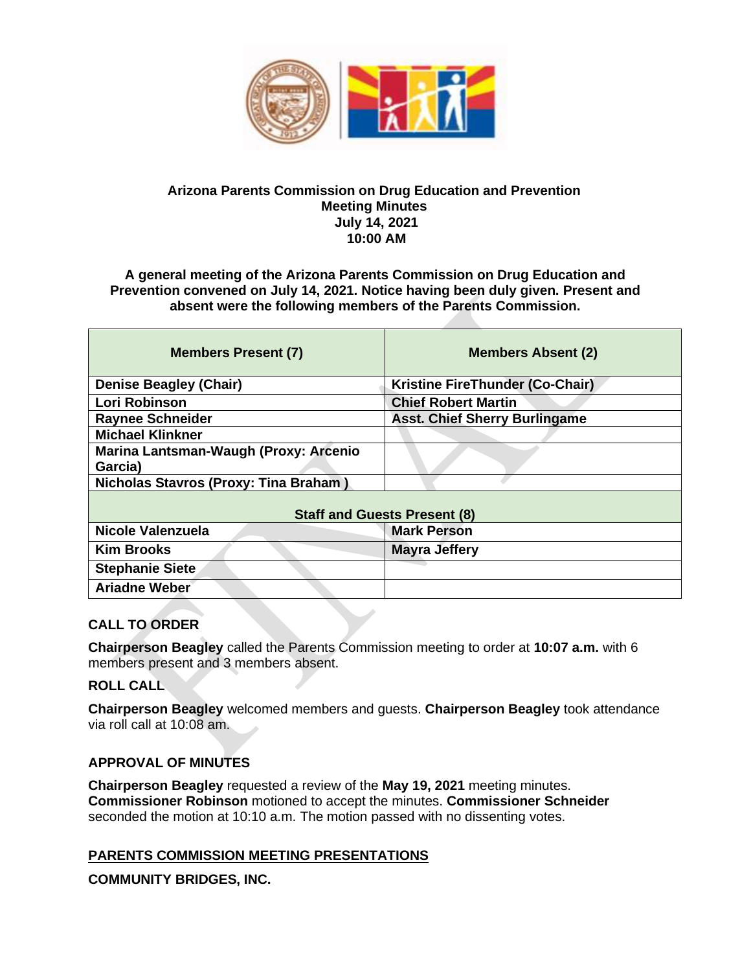

### **Arizona Parents Commission on Drug Education and Prevention Meeting Minutes July 14, 2021 10:00 AM**

#### **A general meeting of the Arizona Parents Commission on Drug Education and Prevention convened on July 14, 2021. Notice having been duly given. Present and absent were the following members of the Parents Commission.**

| <b>Members Present (7)</b>                       | <b>Members Absent (2)</b>              |
|--------------------------------------------------|----------------------------------------|
| <b>Denise Beagley (Chair)</b>                    | <b>Kristine FireThunder (Co-Chair)</b> |
| Lori Robinson                                    | <b>Chief Robert Martin</b>             |
| <b>Raynee Schneider</b>                          | <b>Asst. Chief Sherry Burlingame</b>   |
| <b>Michael Klinkner</b>                          |                                        |
| Marina Lantsman-Waugh (Proxy: Arcenio<br>Garcia) |                                        |
| Nicholas Stavros (Proxy: Tina Braham)            |                                        |
| <b>Staff and Guests Present (8)</b>              |                                        |
| Nicole Valenzuela                                | <b>Mark Person</b>                     |
| <b>Kim Brooks</b>                                | <b>Mayra Jeffery</b>                   |
| <b>Stephanie Siete</b>                           |                                        |
| <b>Ariadne Weber</b>                             |                                        |

### **CALL TO ORDER**

**Chairperson Beagley** called the Parents Commission meeting to order at **10:07 a.m.** with 6 members present and 3 members absent.

### **ROLL CALL**

**Chairperson Beagley** welcomed members and guests. **Chairperson Beagley** took attendance via roll call at 10:08 am.

### **APPROVAL OF MINUTES**

**Chairperson Beagley** requested a review of the **May 19, 2021** meeting minutes. **Commissioner Robinson** motioned to accept the minutes. **Commissioner Schneider** seconded the motion at 10:10 a.m. The motion passed with no dissenting votes.

## **PARENTS COMMISSION MEETING PRESENTATIONS**

**COMMUNITY BRIDGES, INC.**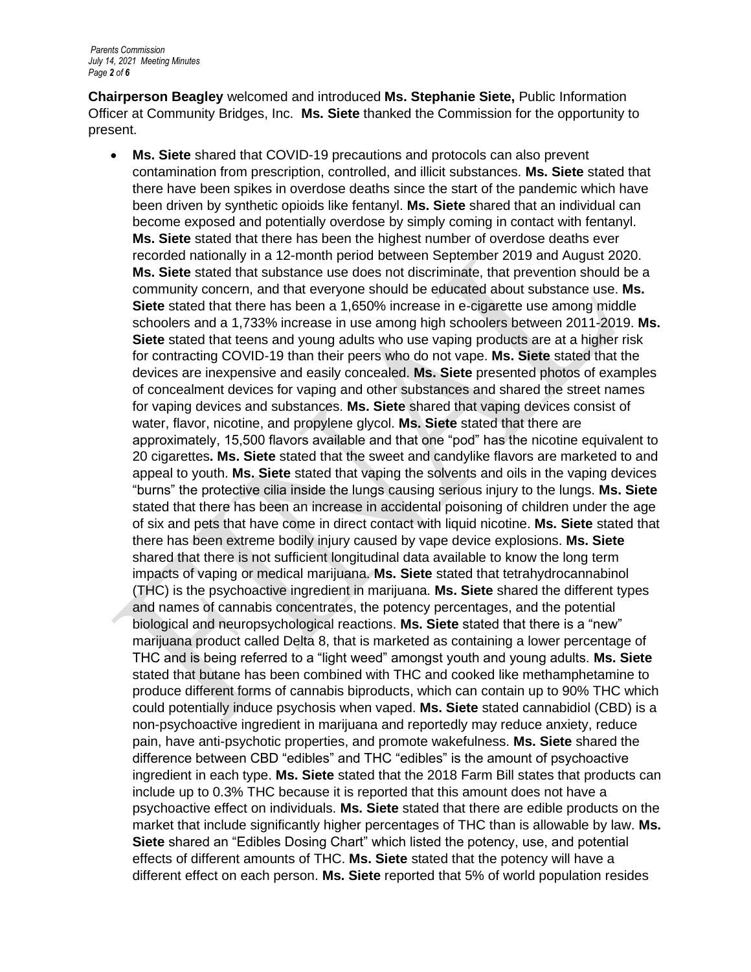*Parents Commission July 14, 2021 Meeting Minutes Page 2 of 6*

**Chairperson Beagley** welcomed and introduced **Ms. Stephanie Siete,** Public Information Officer at Community Bridges, Inc. **Ms. Siete** thanked the Commission for the opportunity to present.

• **Ms. Siete** shared that COVID-19 precautions and protocols can also prevent contamination from prescription, controlled, and illicit substances. **Ms. Siete** stated that there have been spikes in overdose deaths since the start of the pandemic which have been driven by synthetic opioids like fentanyl. **Ms. Siete** shared that an individual can become exposed and potentially overdose by simply coming in contact with fentanyl. **Ms. Siete** stated that there has been the highest number of overdose deaths ever recorded nationally in a 12-month period between September 2019 and August 2020. **Ms. Siete** stated that substance use does not discriminate, that prevention should be a community concern, and that everyone should be educated about substance use. **Ms. Siete** stated that there has been a 1,650% increase in e-cigarette use among middle schoolers and a 1,733% increase in use among high schoolers between 2011-2019. **Ms. Siete** stated that teens and young adults who use vaping products are at a higher risk for contracting COVID-19 than their peers who do not vape. **Ms. Siete** stated that the devices are inexpensive and easily concealed. **Ms. Siete** presented photos of examples of concealment devices for vaping and other substances and shared the street names for vaping devices and substances. **Ms. Siete** shared that vaping devices consist of water, flavor, nicotine, and propylene glycol. **Ms. Siete** stated that there are approximately, 15,500 flavors available and that one "pod" has the nicotine equivalent to 20 cigarettes**. Ms. Siete** stated that the sweet and candylike flavors are marketed to and appeal to youth. **Ms. Siete** stated that vaping the solvents and oils in the vaping devices "burns" the protective cilia inside the lungs causing serious injury to the lungs. **Ms. Siete** stated that there has been an increase in accidental poisoning of children under the age of six and pets that have come in direct contact with liquid nicotine. **Ms. Siete** stated that there has been extreme bodily injury caused by vape device explosions. **Ms. Siete** shared that there is not sufficient longitudinal data available to know the long term impacts of vaping or medical marijuana. **Ms. Siete** stated that tetrahydrocannabinol (THC) is the psychoactive ingredient in marijuana. **Ms. Siete** shared the different types and names of cannabis concentrates, the potency percentages, and the potential biological and neuropsychological reactions. **Ms. Siete** stated that there is a "new" marijuana product called Delta 8, that is marketed as containing a lower percentage of THC and is being referred to a "light weed" amongst youth and young adults. **Ms. Siete** stated that butane has been combined with THC and cooked like methamphetamine to produce different forms of cannabis biproducts, which can contain up to 90% THC which could potentially induce psychosis when vaped. **Ms. Siete** stated cannabidiol (CBD) is a non-psychoactive ingredient in marijuana and reportedly may reduce anxiety, reduce pain, have anti-psychotic properties, and promote wakefulness. **Ms. Siete** shared the difference between CBD "edibles" and THC "edibles" is the amount of psychoactive ingredient in each type. **Ms. Siete** stated that the 2018 Farm Bill states that products can include up to 0.3% THC because it is reported that this amount does not have a psychoactive effect on individuals. **Ms. Siete** stated that there are edible products on the market that include significantly higher percentages of THC than is allowable by law. **Ms. Siete** shared an "Edibles Dosing Chart" which listed the potency, use, and potential effects of different amounts of THC. **Ms. Siete** stated that the potency will have a different effect on each person. **Ms. Siete** reported that 5% of world population resides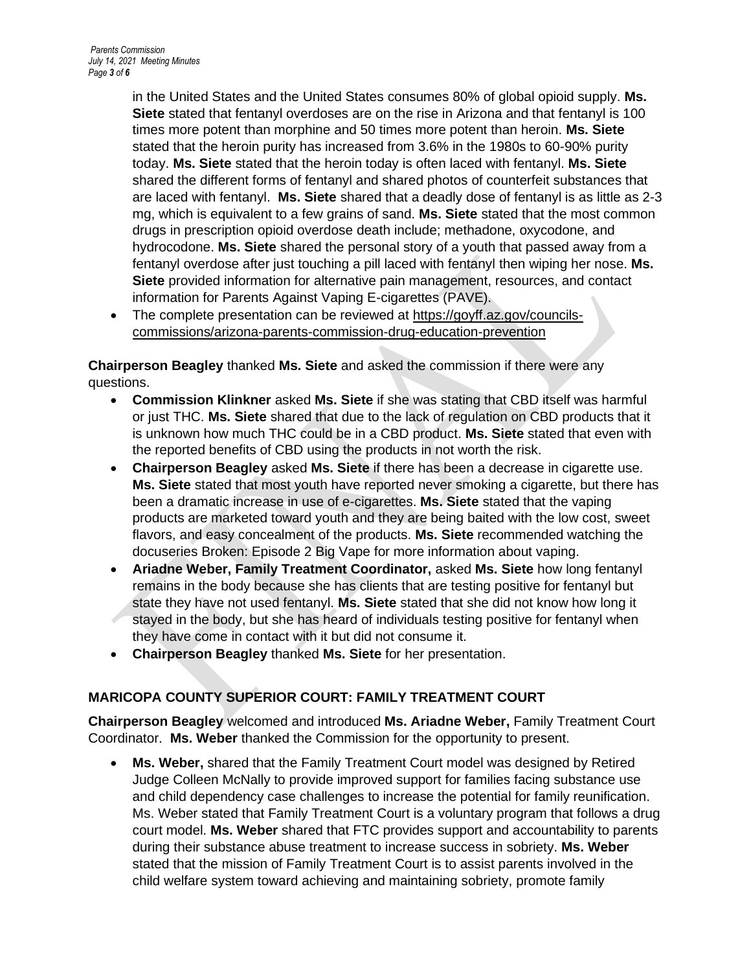in the United States and the United States consumes 80% of global opioid supply. **Ms. Siete** stated that fentanyl overdoses are on the rise in Arizona and that fentanyl is 100 times more potent than morphine and 50 times more potent than heroin. **Ms. Siete** stated that the heroin purity has increased from 3.6% in the 1980s to 60-90% purity today. **Ms. Siete** stated that the heroin today is often laced with fentanyl. **Ms. Siete** shared the different forms of fentanyl and shared photos of counterfeit substances that are laced with fentanyl. **Ms. Siete** shared that a deadly dose of fentanyl is as little as 2-3 mg, which is equivalent to a few grains of sand. **Ms. Siete** stated that the most common drugs in prescription opioid overdose death include; methadone, oxycodone, and hydrocodone. **Ms. Siete** shared the personal story of a youth that passed away from a fentanyl overdose after just touching a pill laced with fentanyl then wiping her nose. **Ms. Siete** provided information for alternative pain management, resources, and contact information for Parents Against Vaping E-cigarettes (PAVE).

• The complete presentation can be reviewed at [https://goyff.az.gov/councils](https://goyff.az.gov/councils-commissions/arizona-parents-commission-drug-education-prevention)[commissions/arizona-parents-commission-drug-education-prevention](https://goyff.az.gov/councils-commissions/arizona-parents-commission-drug-education-prevention)

**Chairperson Beagley** thanked **Ms. Siete** and asked the commission if there were any questions.

- **Commission Klinkner** asked **Ms. Siete** if she was stating that CBD itself was harmful or just THC. **Ms. Siete** shared that due to the lack of regulation on CBD products that it is unknown how much THC could be in a CBD product. **Ms. Siete** stated that even with the reported benefits of CBD using the products in not worth the risk.
- **Chairperson Beagley** asked **Ms. Siete** if there has been a decrease in cigarette use. **Ms. Siete** stated that most youth have reported never smoking a cigarette, but there has been a dramatic increase in use of e-cigarettes. **Ms. Siete** stated that the vaping products are marketed toward youth and they are being baited with the low cost, sweet flavors, and easy concealment of the products. **Ms. Siete** recommended watching the docuseries Broken: Episode 2 Big Vape for more information about vaping.
- **Ariadne Weber, Family Treatment Coordinator,** asked **Ms. Siete** how long fentanyl remains in the body because she has clients that are testing positive for fentanyl but state they have not used fentanyl. **Ms. Siete** stated that she did not know how long it stayed in the body, but she has heard of individuals testing positive for fentanyl when they have come in contact with it but did not consume it.
- **Chairperson Beagley** thanked **Ms. Siete** for her presentation.

# **MARICOPA COUNTY SUPERIOR COURT: FAMILY TREATMENT COURT**

**Chairperson Beagley** welcomed and introduced **Ms. Ariadne Weber,** Family Treatment Court Coordinator. **Ms. Weber** thanked the Commission for the opportunity to present.

• **Ms. Weber,** shared that the Family Treatment Court model was designed by Retired Judge Colleen McNally to provide improved support for families facing substance use and child dependency case challenges to increase the potential for family reunification. Ms. Weber stated that Family Treatment Court is a voluntary program that follows a drug court model. **Ms. Weber** shared that FTC provides support and accountability to parents during their substance abuse treatment to increase success in sobriety. **Ms. Weber** stated that the mission of Family Treatment Court is to assist parents involved in the child welfare system toward achieving and maintaining sobriety, promote family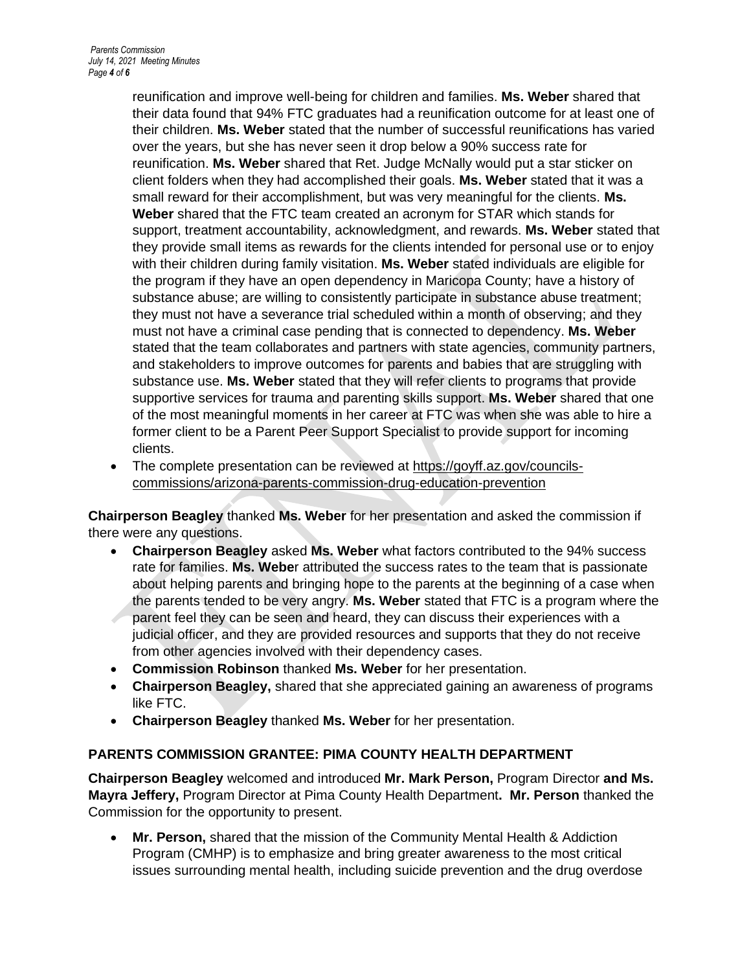reunification and improve well-being for children and families. **Ms. Weber** shared that their data found that 94% FTC graduates had a reunification outcome for at least one of their children. **Ms. Weber** stated that the number of successful reunifications has varied over the years, but she has never seen it drop below a 90% success rate for reunification. **Ms. Weber** shared that Ret. Judge McNally would put a star sticker on client folders when they had accomplished their goals. **Ms. Weber** stated that it was a small reward for their accomplishment, but was very meaningful for the clients. **Ms. Weber** shared that the FTC team created an acronym for STAR which stands for support, treatment accountability, acknowledgment, and rewards. **Ms. Weber** stated that they provide small items as rewards for the clients intended for personal use or to enjoy with their children during family visitation. **Ms. Weber** stated individuals are eligible for the program if they have an open dependency in Maricopa County; have a history of substance abuse; are willing to consistently participate in substance abuse treatment; they must not have a severance trial scheduled within a month of observing; and they must not have a criminal case pending that is connected to dependency. **Ms. Weber** stated that the team collaborates and partners with state agencies, community partners, and stakeholders to improve outcomes for parents and babies that are struggling with substance use. **Ms. Weber** stated that they will refer clients to programs that provide supportive services for trauma and parenting skills support. **Ms. Weber** shared that one of the most meaningful moments in her career at FTC was when she was able to hire a former client to be a Parent Peer Support Specialist to provide support for incoming clients.

• The complete presentation can be reviewed at [https://goyff.az.gov/councils](https://goyff.az.gov/councils-commissions/arizona-parents-commission-drug-education-prevention)[commissions/arizona-parents-commission-drug-education-prevention](https://goyff.az.gov/councils-commissions/arizona-parents-commission-drug-education-prevention)

**Chairperson Beagley** thanked **Ms. Weber** for her presentation and asked the commission if there were any questions.

- **Chairperson Beagley** asked **Ms. Weber** what factors contributed to the 94% success rate for families. **Ms. Webe**r attributed the success rates to the team that is passionate about helping parents and bringing hope to the parents at the beginning of a case when the parents tended to be very angry. **Ms. Weber** stated that FTC is a program where the parent feel they can be seen and heard, they can discuss their experiences with a judicial officer, and they are provided resources and supports that they do not receive from other agencies involved with their dependency cases.
- **Commission Robinson** thanked **Ms. Weber** for her presentation.
- **Chairperson Beagley,** shared that she appreciated gaining an awareness of programs like FTC.
- **Chairperson Beagley** thanked **Ms. Weber** for her presentation.

## **PARENTS COMMISSION GRANTEE: PIMA COUNTY HEALTH DEPARTMENT**

**Chairperson Beagley** welcomed and introduced **Mr. Mark Person,** Program Director **and Ms. Mayra Jeffery,** Program Director at Pima County Health Department**. Mr. Person** thanked the Commission for the opportunity to present.

• **Mr. Person,** shared that the mission of the Community Mental Health & Addiction Program (CMHP) is to emphasize and bring greater awareness to the most critical issues surrounding mental health, including suicide prevention and the drug overdose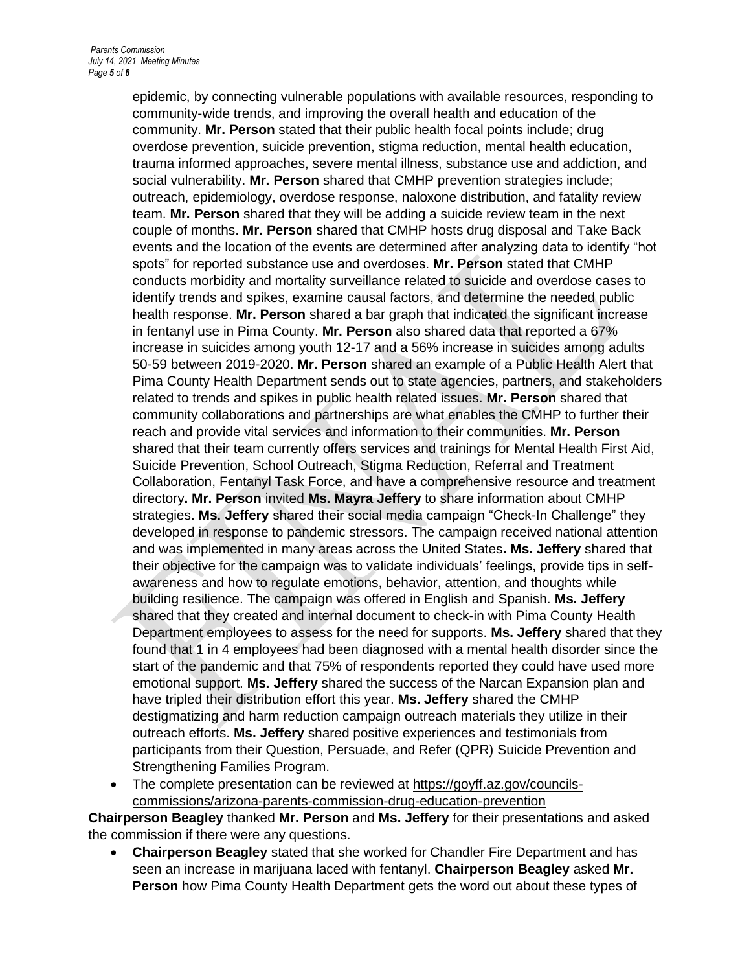epidemic, by connecting vulnerable populations with available resources, responding to community-wide trends, and improving the overall health and education of the community. **Mr. Person** stated that their public health focal points include; drug overdose prevention, suicide prevention, stigma reduction, mental health education, trauma informed approaches, severe mental illness, substance use and addiction, and social vulnerability. **Mr. Person** shared that CMHP prevention strategies include; outreach, epidemiology, overdose response, naloxone distribution, and fatality review team. **Mr. Person** shared that they will be adding a suicide review team in the next couple of months. **Mr. Person** shared that CMHP hosts drug disposal and Take Back events and the location of the events are determined after analyzing data to identify "hot spots" for reported substance use and overdoses. **Mr. Person** stated that CMHP conducts morbidity and mortality surveillance related to suicide and overdose cases to identify trends and spikes, examine causal factors, and determine the needed public health response. **Mr. Person** shared a bar graph that indicated the significant increase in fentanyl use in Pima County. **Mr. Person** also shared data that reported a 67% increase in suicides among youth 12-17 and a 56% increase in suicides among adults 50-59 between 2019-2020. **Mr. Person** shared an example of a Public Health Alert that Pima County Health Department sends out to state agencies, partners, and stakeholders related to trends and spikes in public health related issues. **Mr. Person** shared that community collaborations and partnerships are what enables the CMHP to further their reach and provide vital services and information to their communities. **Mr. Person** shared that their team currently offers services and trainings for Mental Health First Aid, Suicide Prevention, School Outreach, Stigma Reduction, Referral and Treatment Collaboration, Fentanyl Task Force, and have a comprehensive resource and treatment directory**. Mr. Person** invited **Ms. Mayra Jeffery** to share information about CMHP strategies. **Ms. Jeffery** shared their social media campaign "Check-In Challenge" they developed in response to pandemic stressors. The campaign received national attention and was implemented in many areas across the United States**. Ms. Jeffery** shared that their objective for the campaign was to validate individuals' feelings, provide tips in selfawareness and how to regulate emotions, behavior, attention, and thoughts while building resilience. The campaign was offered in English and Spanish. **Ms. Jeffery** shared that they created and internal document to check-in with Pima County Health Department employees to assess for the need for supports. **Ms. Jeffery** shared that they found that 1 in 4 employees had been diagnosed with a mental health disorder since the start of the pandemic and that 75% of respondents reported they could have used more emotional support. **Ms. Jeffery** shared the success of the Narcan Expansion plan and have tripled their distribution effort this year. **Ms. Jeffery** shared the CMHP destigmatizing and harm reduction campaign outreach materials they utilize in their outreach efforts. **Ms. Jeffery** shared positive experiences and testimonials from participants from their Question, Persuade, and Refer (QPR) Suicide Prevention and Strengthening Families Program.

• The complete presentation can be reviewed at [https://goyff.az.gov/councils](https://goyff.az.gov/councils-commissions/arizona-parents-commission-drug-education-prevention)[commissions/arizona-parents-commission-drug-education-prevention](https://goyff.az.gov/councils-commissions/arizona-parents-commission-drug-education-prevention)

**Chairperson Beagley** thanked **Mr. Person** and **Ms. Jeffery** for their presentations and asked the commission if there were any questions.

• **Chairperson Beagley** stated that she worked for Chandler Fire Department and has seen an increase in marijuana laced with fentanyl. **Chairperson Beagley** asked **Mr. Person** how Pima County Health Department gets the word out about these types of